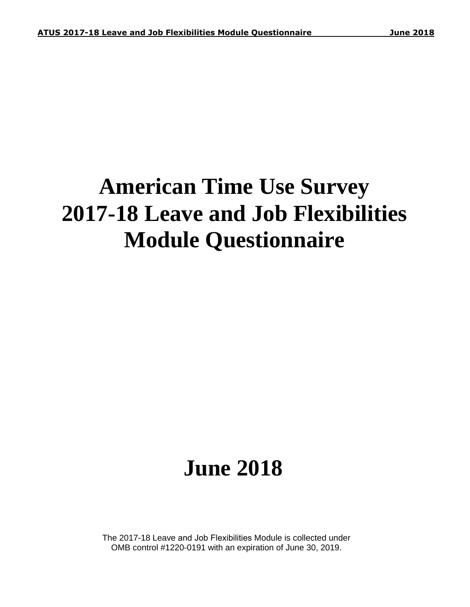# **American Time Use Survey 2017-18 Leave and Job Flexibilities Module Questionnaire**

# **June 2018**

The 2017-18 Leave and Job Flexibilities Module is collected under OMB control #1220-0191 with an expiration of June 30, 2019.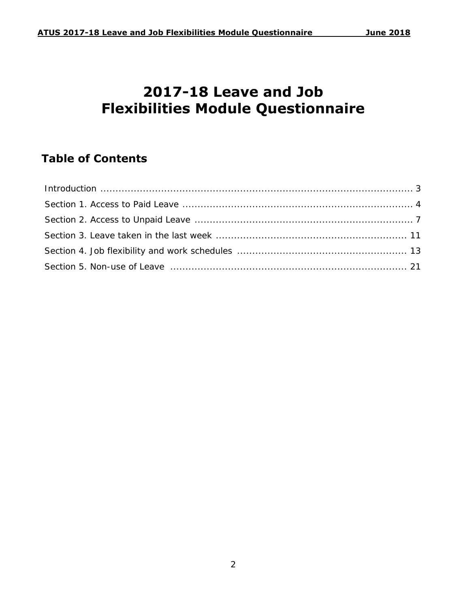## **2017-18 Leave and Job Flexibilities Module Questionnaire**

## **Table of Contents**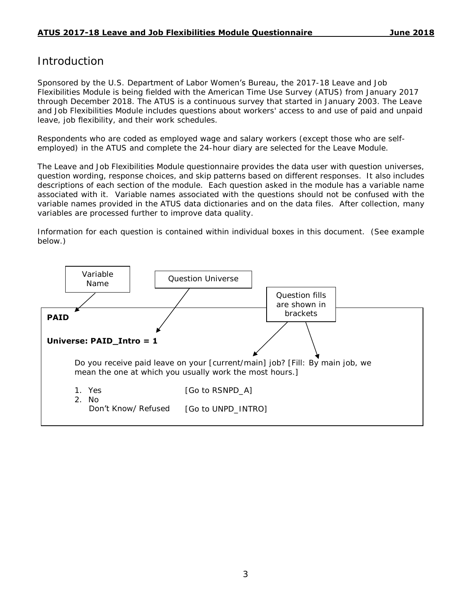## Introduction

Sponsored by the U.S. Department of Labor Women's Bureau, the 2017-18 Leave and Job Flexibilities Module is being fielded with the American Time Use Survey (ATUS) from January 2017 through December 2018. The ATUS is a continuous survey that started in January 2003. The Leave and Job Flexibilities Module includes questions about workers' access to and use of paid and unpaid leave, job flexibility, and their work schedules.

Respondents who are coded as employed wage and salary workers (except those who are selfemployed) in the ATUS and complete the 24-hour diary are selected for the Leave Module.

The Leave and Job Flexibilities Module questionnaire provides the data user with question universes, question wording, response choices, and skip patterns based on different responses. It also includes descriptions of each section of the module. Each question asked in the module has a variable name associated with it. Variable names associated with the questions should not be confused with the variable names provided in the ATUS data dictionaries and on the data files. After collection, many variables are processed further to improve data quality.

Information for each question is contained within individual boxes in this document. (See example below.)

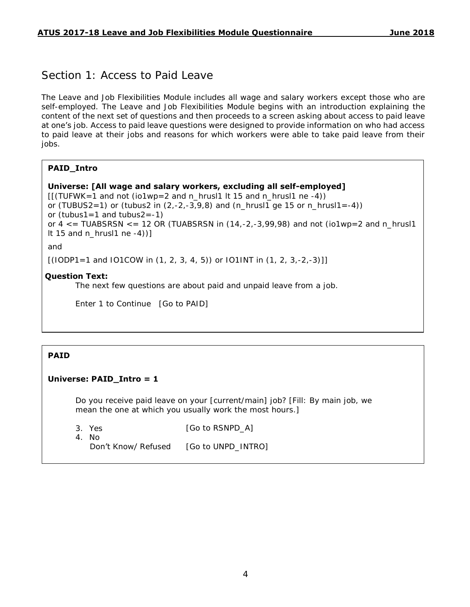## Section 1: Access to Paid Leave

The Leave and Job Flexibilities Module includes all wage and salary workers except those who are self-employed. The Leave and Job Flexibilities Module begins with an introduction explaining the content of the next set of questions and then proceeds to a screen asking about access to paid leave at one's job. Access to paid leave questions were designed to provide information on who had access to paid leave at their jobs and reasons for which workers were able to take paid leave from their jobs.

#### **PAID\_Intro**

```
Universe: [All wage and salary workers, excluding all self-employed]
```
 $[$ [(TUFWK=1 and not (io1wp=2 and n\_hrusl1 lt 15 and n\_hrusl1 ne -4)) or (TUBUS2=1) or (tubus2 in  $(2,-2,-3,9,8)$  and  $(n_hrus11 ge 15 or n_hrus11=-4)$ ) or (tubus1=1 and tubus2= $-1$ ) or  $4 \le$  = TUABSRSN  $\le$  = 12 OR (TUABSRSN in (14,-2,-3,99,98) and not (io1wp=2 and n\_hrusl1 It 15 and  $n_h$ rusl1 ne -4))]

#### and

 $[(10DP1=1 and 101COW in (1, 2, 3, 4, 5)) or 101INT in (1, 2, 3, -2, -3)]]$ 

#### **Question Text:**

The next few questions are about paid and unpaid leave from a job.

Enter 1 to Continue [Go to PAID]

#### **PAID**

#### **Universe: PAID\_Intro = 1**

Do you receive paid leave on your [current/main] job? [Fill: By main job, we mean the one at which you usually work the most hours.]

3. Yes

[Go to RSNPD\_A]

4. No

Don't Know/ Refused [Go to UNPD\_INTRO]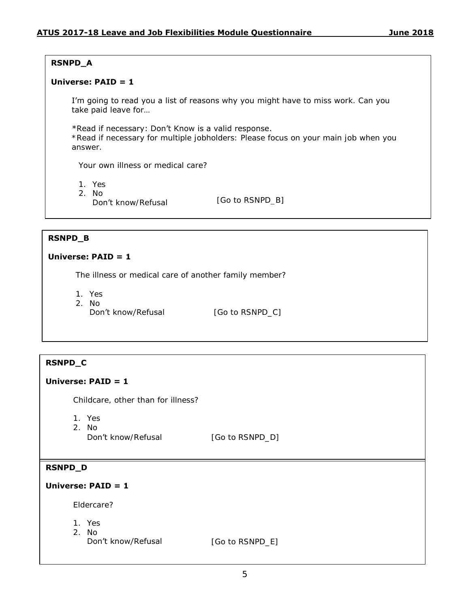#### **RSNPD\_A**

#### **Universe: PAID = 1**

I'm going to read you a list of reasons why you might have to miss work. Can you take paid leave for…

#### \*Read if necessary: Don't Know is a valid response.

\*Read if necessary for multiple jobholders: Please focus on your main job when you answer.

Your own illness or medical care?

- 1. Yes
- 2. No
	- Don't know/Refusal [Go to RSNPD\_B]

#### **RSNPD\_B**

#### **Universe: PAID = 1**

The illness or medical care of another family member?

1. Yes

2. No Don't know/Refusal [Go to RSNPD\_C]

#### **RSNPD\_C**

#### **Universe: PAID = 1**

Childcare, other than for illness?

- 1. Yes
- 2. No

Don't know/Refusal [Go to RSNPD\_D]

#### **RSNPD\_D**

#### **Universe: PAID = 1**

Eldercare?

- 1. Yes
- 2. No
	- Don't know/Refusal [Go to RSNPD\_E]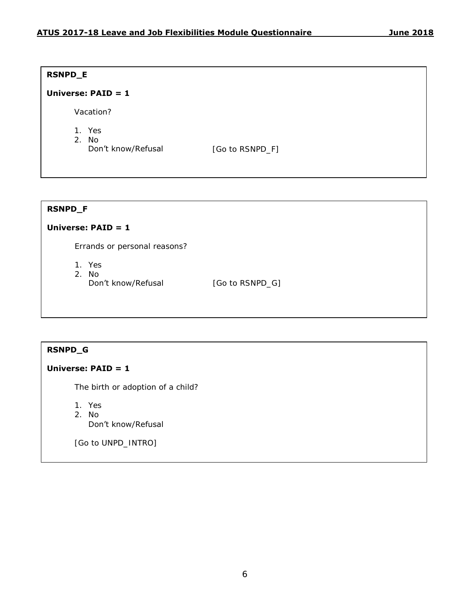#### **RSNPD\_E**

#### **Universe: PAID = 1**

Vacation?

- 1. Yes
- 2. No
	- Don't know/Refusal [Go to RSNPD\_F]

#### **RSNPD\_F**

#### **Universe: PAID = 1**

Errands or personal reasons?

- 1. Yes
- 2. No<br>Don't know/Refusal

[Go to RSNPD\_G]

#### **RSNPD\_G**

#### **Universe: PAID = 1**

The birth or adoption of a child?

- 1. Yes
- 2. No
	- Don't know/Refusal

[Go to UNPD\_INTRO]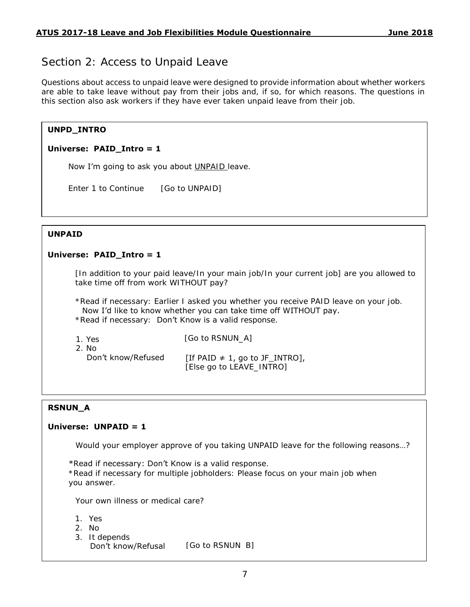## Section 2: Access to Unpaid Leave

Questions about access to unpaid leave were designed to provide information about whether workers are able to take leave without pay from their jobs and, if so, for which reasons. The questions in this section also ask workers if they have ever taken unpaid leave from their job.

#### **UNPD\_INTRO**

#### **Universe: PAID\_Intro = 1**

Now I'm going to ask you about UNPAID leave.

Enter 1 to Continue [Go to UNPAID]

#### **UNPAID**

#### **Universe: PAID\_Intro = 1**

[In addition to your paid leave/In your main job/In your current job] are you allowed to take time off from work WITHOUT pay?

\*Read if necessary: Earlier I asked you whether you receive PAID leave on your job. Now I'd like to know whether you can take time off WITHOUT pay. \*Read if necessary: Don't Know is a valid response.

| 1. Yes             | [Go to RSNUN A]                     |
|--------------------|-------------------------------------|
| 2. No              |                                     |
| Don't know/Refused | [If PAID $\neq$ 1, go to JF_INTRO], |
|                    | [Else go to LEAVE_INTRO]            |

#### **RSNUN\_A**

#### **Universe: UNPAID = 1**

Would your employer approve of you taking UNPAID leave for the following reasons…?

\*Read if necessary: Don't Know is a valid response.

\*Read if necessary for multiple jobholders: Please focus on your main job when you answer.

Your own illness or medical care?

- 1. Yes
- 2. No
- 3. It depends

Don't know/Refusal [Go to RSNUN\_B]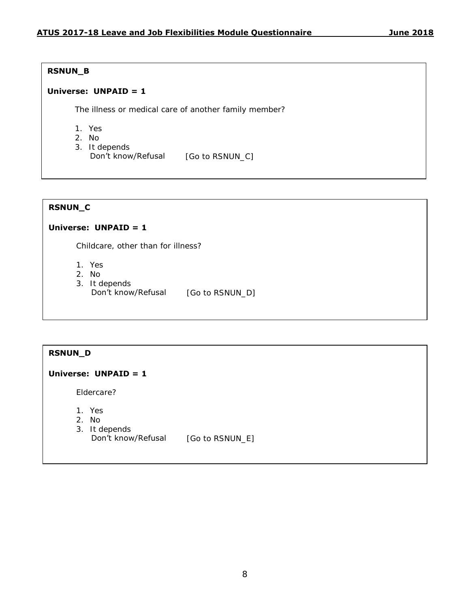#### **RSNUN\_B**

#### **Universe: UNPAID = 1**

The illness or medical care of another family member?

- 1. Yes
- 2. No
- 3. It depends
	- Don't know/Refusal [Go to RSNUN\_C]

#### **RSNUN\_C**

#### **Universe: UNPAID = 1**

Childcare, other than for illness?

- 1. Yes
- 2. No
- 3. It depends
- Don't know/Refusal [Go to RSNUN\_D]

#### **RSNUN\_D**

#### **Universe: UNPAID = 1**

Eldercare?

- 1. Yes
- 2. No
- 3. It depends
	- Don't know/Refusal [Go to RSNUN\_E]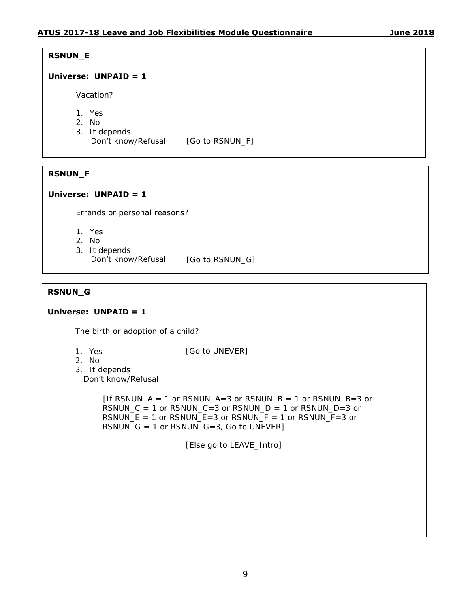#### **RSNUN\_E**

#### **Universe: UNPAID = 1**

Vacation?

- 1. Yes
- 2. No
- 3. It depends
	- Don't know/Refusal [Go to RSNUN\_F]

#### **RSNUN\_F**

#### **Universe: UNPAID = 1**

Errands or personal reasons?

- 1. Yes
- 2. No
- 3. It depends
	- Don't know/Refusal [Go to RSNUN\_G]

#### **RSNUN\_G**

#### **Universe: UNPAID = 1**

The birth or adoption of a child?

1. Yes

[Go to UNEVER]

2. No

```
3.
It depends 
 Don't know/Refusal
```
 $[$ If RSNUN\_A = 1 or RSNUN\_A=3 or RSNUN\_B = 1 or RSNUN\_B=3 or RSNUN  $C = 1$  or RSNUN  $C = 3$  or RSNUN  $D = 1$  or RSNUN  $D=3$  or RSNUN\_E = 1 or RSNUN\_E=3 or RSNUN\_F = 1 or RSNUN\_F=3 or RSNUN $G = 1$  or RSNUN $G=3$ , Go to UNEVER]

[Else go to LEAVE\_Intro]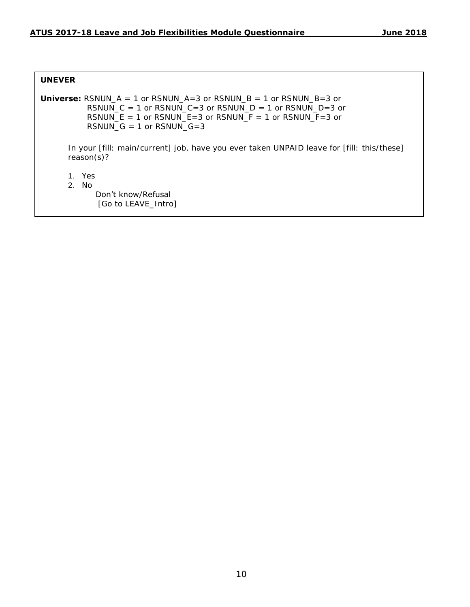#### **UNEVER**

```
Universe: RSNUN A = 1 or RSNUN A=3 or RSNUN B = 1 or RSNUN B=3 or
          RSNUN_C = 1 or RSNUN_C=3 or RSNUN_D = 1 or RSNUN_D=3 or 
          RSNUN_E = 1 or RSNUN_E = 3 or RSNUN_F = 1 or RSNUN_F = 3 or
          RSNUN_G = 1 or RSNUN_G = 3In your [fill: main/current] job, have you ever taken UNPAID leave for [fill: this/these] 
      reason(s)?
      1. Yes
      2. No
            Don't know/Refusal 
             [Go to LEAVE_Intro]
```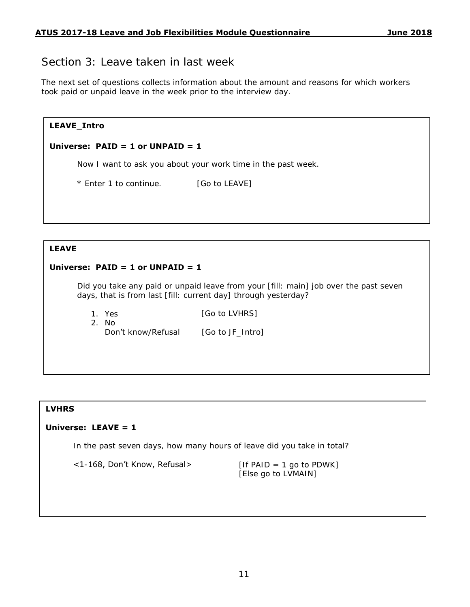## Section 3: Leave taken in last week

The next set of questions collects information about the amount and reasons for which workers took paid or unpaid leave in the week prior to the interview day.

| LEAVE_Intro                        |                                                              |  |  |  |
|------------------------------------|--------------------------------------------------------------|--|--|--|
| Universe: $PAID = 1$ or UNPAID = 1 |                                                              |  |  |  |
|                                    | Now I want to ask you about your work time in the past week. |  |  |  |
| * Enter 1 to continue.             | [Go to LEAVE]                                                |  |  |  |
|                                    |                                                              |  |  |  |

#### **LEAVE**

#### **Universe: PAID = 1 or UNPAID = 1**

Did you take any paid or unpaid leave from your [fill: main] job over the past seven days, that is from last [fill: current day] through yesterday?

1. Yes 2. No

[Go to LVHRS]

Don't know/Refusal

[Go to JF\_Intro]

#### **LVHRS**

#### **Universe: LEAVE = 1**

In the past seven days, how many hours of leave did you take in total?

 $\langle$  1-168, Don't Know, Refusal> [If PAID = 1 go to PDWK]

[Else go to LVMAIN]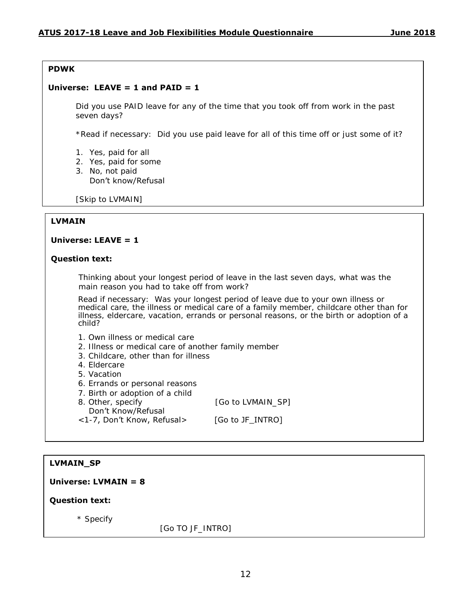#### **PDWK**

#### Universe: LEAVE  $= 1$  and PAID  $= 1$

Did you use PAID leave for any of the time that you took off from work in the past seven days?

\*Read if necessary: Did you use paid leave for all of this time off or just some of it?

- 1. Yes, paid for all
- 2. Yes, paid for some
- 3. No, not paid

Don't know/Refusal

[Skip to LVMAIN]

#### **LVMAIN**

#### **Universe: LEAVE = 1**

#### **Question text:**

Thinking about your longest period of leave in the last seven days, what was the main reason you had to take off from work?

Read if necessary: Was your longest period of leave due to your own illness or medical care, the illness or medical care of a family member, childcare other than for illness, eldercare, vacation, errands or personal reasons, or the birth or adoption of a child?

- 1. Own illness or medical care
- 2. Illness or medical care of another family member
- 3. Childcare, other than for illness
- 4. Eldercare
- 5. Vacation
- 6. Errands or personal reasons
- 7. Birth or adoption of a child
- 8. Other, specify **Example 20** [Go to LVMAIN SP]

Don't Know/Refusal

<1-7, Don't Know, Refusal> [Go to JF\_INTRO]

#### **LVMAIN\_SP**

**Universe: LVMAIN = 8** 

**Question text:**

\* Specify

[Go TO JF\_INTRO]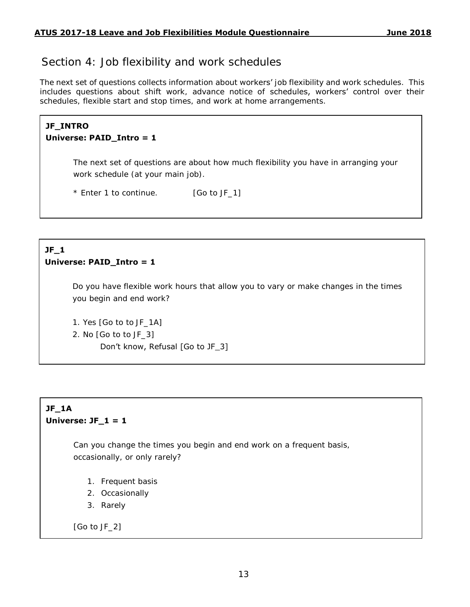## Section 4: Job flexibility and work schedules

The next set of questions collects information about workers' job flexibility and work schedules. This includes questions about shift work, advance notice of schedules, workers' control over their schedules, flexible start and stop times, and work at home arrangements.

#### **JF\_INTRO Universe: PAID\_Intro = 1**

The next set of questions are about how much flexibility you have in arranging your work schedule (at your main job).

\* Enter 1 to continue. [Go to JF\_1]

#### **JF\_1 Universe: PAID\_Intro = 1**

Do you have flexible work hours that allow you to vary or make changes in the times you begin and end work?

1. Yes [Go to to JF\_1A]

2. No [Go to to JF\_3]

Don't know, Refusal [Go to JF\_3]

## **JF\_1A Universe: JF\_1 = 1**

Can you change the times you begin and end work on a frequent basis, occasionally, or only rarely?

- 1. Frequent basis
- 2. Occasionally
- 3. Rarely

[Go to JF\_2]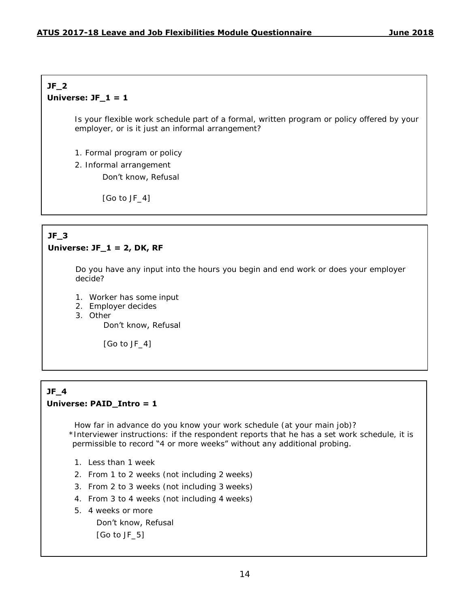#### **JF\_2 Universe: JF\_1 = 1**

Is your flexible work schedule part of a formal, written program or policy offered by your employer, or is it just an informal arrangement?

- 1. Formal program or policy
- 2. Informal arrangement

Don't know, Refusal

[Go to JF\_4]

#### **JF\_3 Universe: JF\_1 = 2, DK, RF**

Do you have any input into the hours you begin and end work or does your employer decide?

- 1. Worker has some input
- 2. Employer decides
- 3. Other

Don't know, Refusal

[Go to JF\_4]

## **JF\_4 Universe: PAID\_Intro = 1**

How far in advance do you know your work schedule (at your main job)? \*Interviewer instructions: if the respondent reports that he has a set work schedule, it is permissible to record "4 or more weeks" without any additional probing.

- 1. Less than 1 week
- 2. From 1 to 2 weeks (not including 2 weeks)
- 3. From 2 to 3 weeks (not including 3 weeks)
- 4. From 3 to 4 weeks (not including 4 weeks)
- 5. 4 weeks or more

Don't know, Refusal [Go to JF\_5]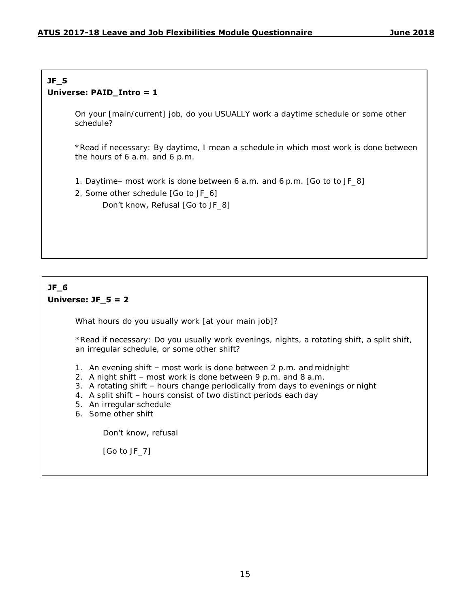#### **JF\_5 Universe: PAID\_Intro = 1**

On your [main/current] job, do you USUALLY work a daytime schedule or some other schedule?

\*Read if necessary: By daytime, I mean a schedule in which most work is done between the hours of 6 a.m. and 6 p.m.

- 1. Daytime– most work is done between 6 a.m. and 6 p.m. [Go to to JF\_8]
- 2. Some other schedule [Go to JF\_6]

Don't know, Refusal [Go to JF\_8]

#### **JF\_6 Universe: JF\_5 = 2**

What hours do you usually work [at your main job]?

\*Read if necessary: Do you usually work evenings, nights, a rotating shift, a split shift, an irregular schedule, or some other shift?

- 1. An evening shift most work is done between 2 p.m. and midnight
- 2. A night shift most work is done between 9 p.m. and 8 a.m.
- 3. A rotating shift hours change periodically from days to evenings or night
- 4. A split shift hours consist of two distinct periods each day
- 5. An irregular schedule
- 6. Some other shift

#### Don't know, refusal

[Go to JF\_7]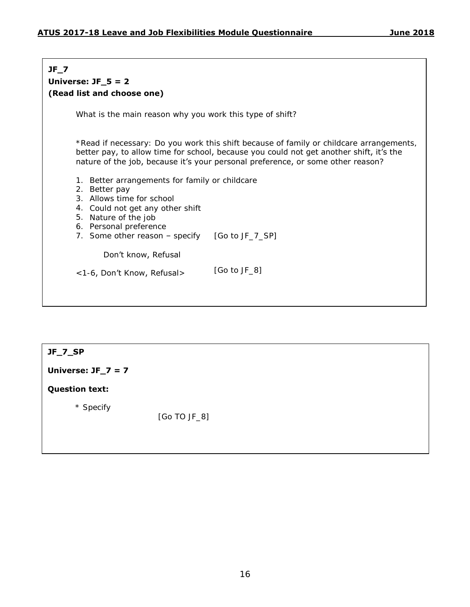## **JF\_7 Universe: JF\_5 = 2 (Read list and choose one)** What is the main reason why you work this type of shift? \*Read if necessary: Do you work this shift because of family or childcare arrangements, better pay, to allow time for school, because you could not get another shift, it's the nature of the job, because it's your personal preference, or some other reason? 1. Better arrangements for family or childcare 2. Better pay 3. Allows time for school 4. Could not get any other shift 5. Nature of the job 6. Personal preference 7. Some other reason - specify [Go to JF\_7\_SP] Don't know, Refusal <1-6, Don't Know, Refusal> [Go to JF\_8]

#### **JF\_7\_SP**

**Universe: JF\_7 = 7** 

#### **Question text:**

\* Specify

[Go TO JF\_8]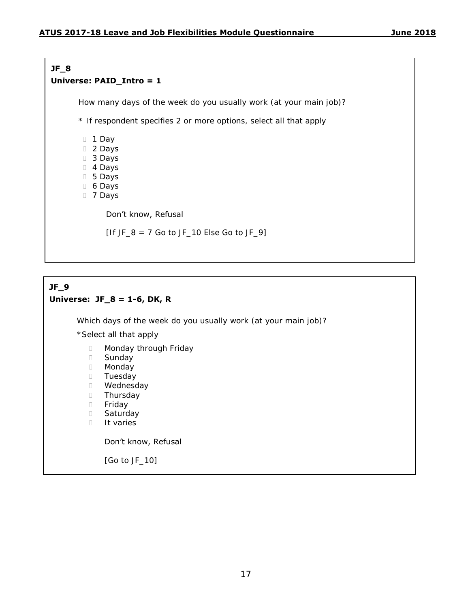#### **JF\_8 Universe: PAID\_Intro = 1**

How many days of the week do you usually work (at your main job)?

\* If respondent specifies 2 or more options, select all that apply

1 Day

- D<sub>2</sub> Days
- 3 Days
- 4 Days
- 5 Days
- 6 Days
- 7 Days

#### Don't know, Refusal

[If JF  $8 = 7$  Go to JF 10 Else Go to JF 9]

### **JF\_9 Universe: JF\_8 = 1-6, DK, R**

Which days of the week do you usually work (at your main job)?

\*Select all that apply

- Monday through Friday
- D Sunday
- D Monday
- D Tuesday
- D Wednesday
- D Thursday
- D Friday
- D Saturday
- **I**t varies

#### Don't know, Refusal

[Go to JF\_10]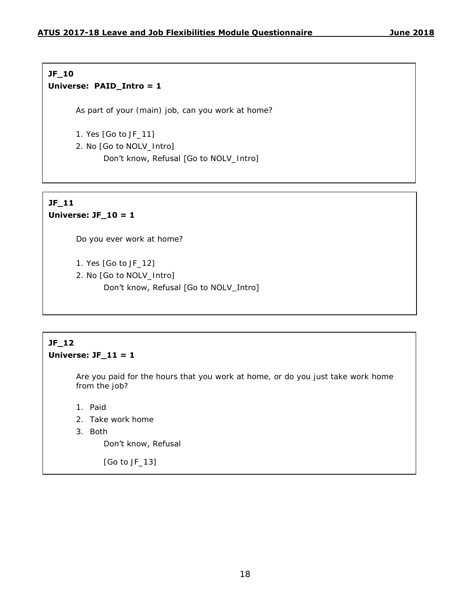#### **JF\_10 Universe: PAID\_Intro = 1**

As part of your (main) job, can you work at home?

1. Yes [Go to JF\_11]

2. No [Go to NOLV\_Intro]

Don't know, Refusal [Go to NOLV\_Intro]

#### **JF\_11 Universe: JF\_10 = 1**

Do you ever work at home?

- 1. Yes [Go to JF\_12]
- 2. No [Go to NOLV\_Intro]
	- Don't know, Refusal [Go to NOLV\_Intro]

### **JF\_12 Universe: JF\_11 = 1**

Are you paid for the hours that you work at home, or do you just take work home from the job?

- 1. Paid
- 2. Take work home
- 3. Both

#### Don't know, Refusal

[Go to JF\_13]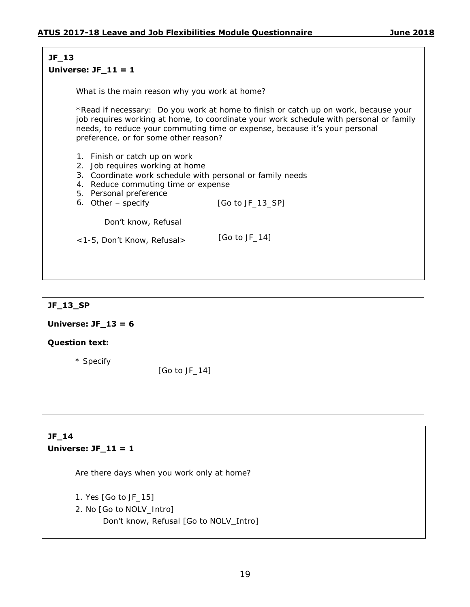## **JF\_13**

#### **Universe: JF\_11 = 1**

What is the main reason why you work at home?

\*Read if necessary: Do you work at home to finish or catch up on work, because your job requires working at home, to coordinate your work schedule with personal or family needs, to reduce your commuting time or expense, because it's your personal preference, or for some other reason?

- 1. Finish or catch up on work
- 2. Job requires working at home
- 3. Coordinate work schedule with personal or family needs
- 4. Reduce commuting time or expense
- 5. Personal preference
- 6. Other specify  $[Go to JF_113_SP]$

Don't know, Refusal

<1-5, Don't Know, Refusal> [Go to JF\_14]

#### **JF\_13\_SP**

#### **Universe: JF\_13 = 6**

#### **Question text:**

\* Specify

[Go to JF\_14]

## **JF\_14 Universe: JF\_11 = 1**

Are there days when you work only at home?

1. Yes [Go to JF\_15]

2. No [Go to NOLV\_Intro]

Don't know, Refusal [Go to NOLV\_Intro]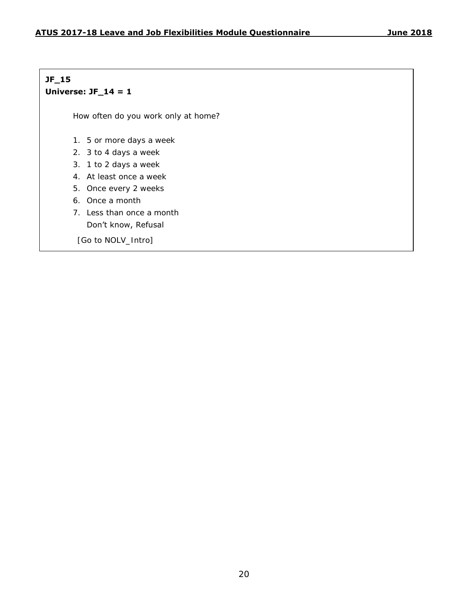### **JF\_15 Universe: JF\_14 = 1**

How often do you work only at home?

- 1. 5 or more days a week
- 2. 3 to 4 days a week
- 3. 1 to 2 days a week
- 4. At least once a week
- 5. Once every 2 weeks
- 6. Once a month
- 7. Less than once a month

## Don't know, Refusal

[Go to NOLV\_Intro]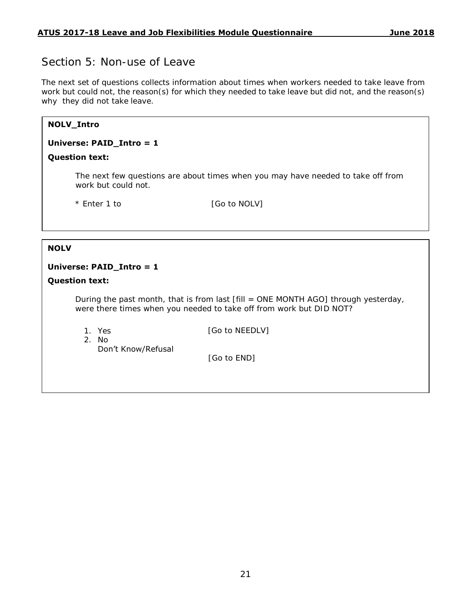## Section 5: Non-use of Leave

The next set of questions collects information about times when workers needed to take leave from work but could not, the reason(s) for which they needed to take leave but did not, and the reason(s) why they did not take leave.

## **NOLV\_Intro Universe: PAID\_Intro = 1 Question text:** The next few questions are about times when you may have needed to take off from work but could not. \* Enter 1 to [Go to NOLV]

#### **NOLV**

#### **Universe: PAID\_Intro = 1**

#### **Question text:**

During the past month, that is from last [fill = ONE MONTH AGO] through yesterday, were there times when you needed to take off from work but DID NOT?

1. Yes

[Go to NEEDLV]

2. No

Don't Know/Refusal

[Go to END]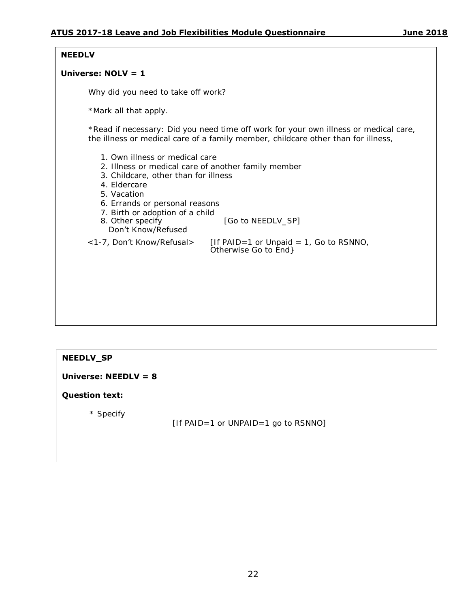#### **NEEDLV**

#### **Universe: NOLV = 1**

Why did you need to take off work?

\*Mark all that apply.

\*Read if necessary: Did you need time off work for your own illness or medical care, the illness or medical care of a family member, childcare other than for illness,

- 1. Own illness or medical care
- 2. Illness or medical care of another family member
- 3. Childcare, other than for illness
- 4. Eldercare
- 5. Vacation
- 6. Errands or personal reasons
- 
- 7. Birth or adoption of a child<br>8. Other specify [Go to NEEDLV\_SP] Don't Know/Refused

 $\langle$  1-7, Don't Know/Refusal> [If PAID=1 or Unpaid = 1, Go to RSNNO, Otherwise Go to End}

#### **NEEDLV\_SP**

#### **Universe: NEEDLV = 8**

#### **Question text:**

\* Specify

[If PAID=1 or UNPAID=1 go to RSNNO]